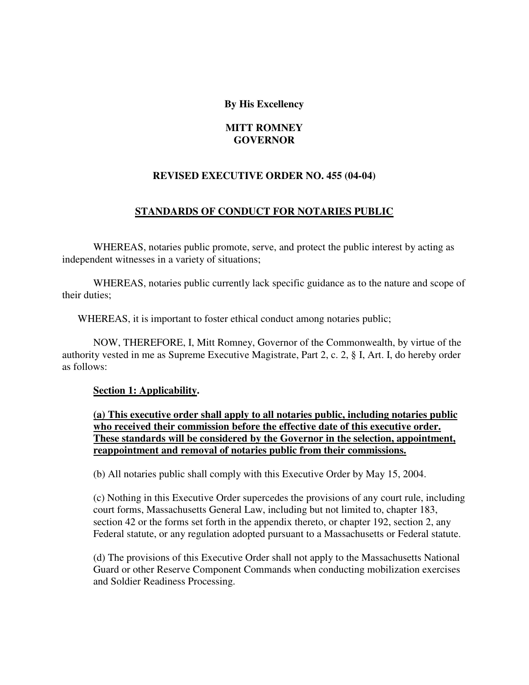# **By His Excellency**

# **MITT ROMNEY GOVERNOR**

# **REVISED EXECUTIVE ORDER NO. 455 (04-04)**

# **STANDARDS OF CONDUCT FOR NOTARIES PUBLIC**

 WHEREAS, notaries public promote, serve, and protect the public interest by acting as independent witnesses in a variety of situations;

 WHEREAS, notaries public currently lack specific guidance as to the nature and scope of their duties;

WHEREAS, it is important to foster ethical conduct among notaries public;

 NOW, THEREFORE, I, Mitt Romney, Governor of the Commonwealth, by virtue of the authority vested in me as Supreme Executive Magistrate, Part 2, c. 2, § I, Art. I, do hereby order as follows:

#### **Section 1: Applicability.**

**(a) This executive order shall apply to all notaries public, including notaries public who received their commission before the effective date of this executive order. These standards will be considered by the Governor in the selection, appointment, reappointment and removal of notaries public from their commissions.**

(b) All notaries public shall comply with this Executive Order by May 15, 2004.

(c) Nothing in this Executive Order supercedes the provisions of any court rule, including court forms, Massachusetts General Law, including but not limited to, chapter 183, section 42 or the forms set forth in the appendix thereto, or chapter 192, section 2, any Federal statute, or any regulation adopted pursuant to a Massachusetts or Federal statute.

(d) The provisions of this Executive Order shall not apply to the Massachusetts National Guard or other Reserve Component Commands when conducting mobilization exercises and Soldier Readiness Processing.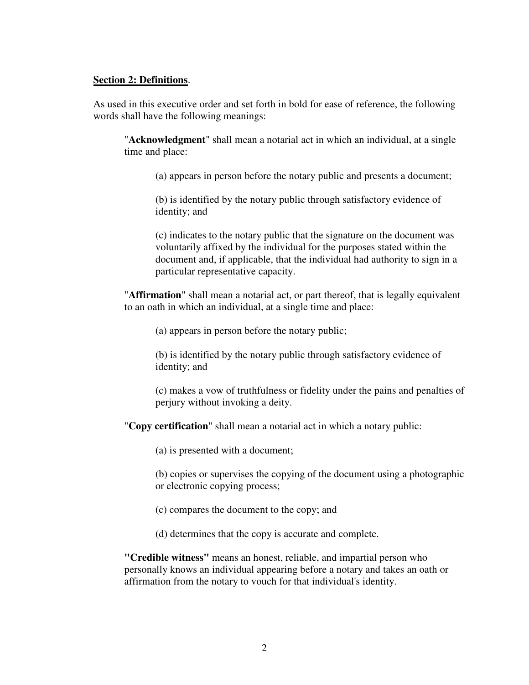#### **Section 2: Definitions**.

As used in this executive order and set forth in bold for ease of reference, the following words shall have the following meanings:

"**Acknowledgment**" shall mean a notarial act in which an individual, at a single time and place:

(a) appears in person before the notary public and presents a document;

(b) is identified by the notary public through satisfactory evidence of identity; and

(c) indicates to the notary public that the signature on the document was voluntarily affixed by the individual for the purposes stated within the document and, if applicable, that the individual had authority to sign in a particular representative capacity.

"**Affirmation**" shall mean a notarial act, or part thereof, that is legally equivalent to an oath in which an individual, at a single time and place:

(a) appears in person before the notary public;

(b) is identified by the notary public through satisfactory evidence of identity; and

(c) makes a vow of truthfulness or fidelity under the pains and penalties of perjury without invoking a deity.

"**Copy certification**" shall mean a notarial act in which a notary public:

(a) is presented with a document;

(b) copies or supervises the copying of the document using a photographic or electronic copying process;

(c) compares the document to the copy; and

(d) determines that the copy is accurate and complete.

**"Credible witness"** means an honest, reliable, and impartial person who personally knows an individual appearing before a notary and takes an oath or affirmation from the notary to vouch for that individual's identity.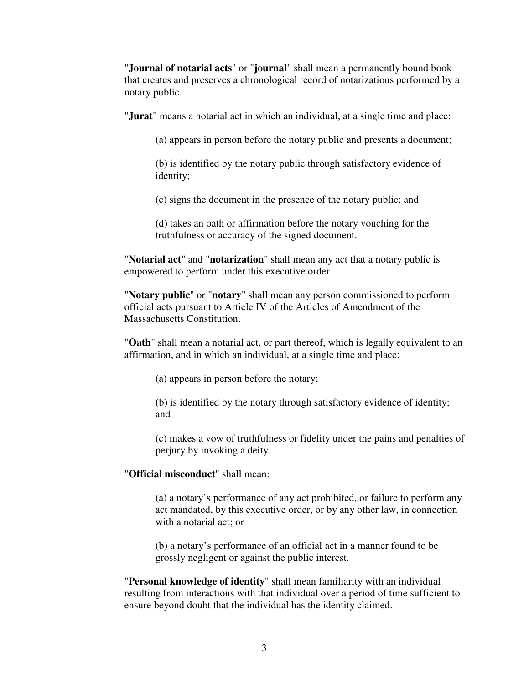"**Journal of notarial acts**" or "**journal**" shall mean a permanently bound book that creates and preserves a chronological record of notarizations performed by a notary public.

"**Jurat**" means a notarial act in which an individual, at a single time and place:

(a) appears in person before the notary public and presents a document;

(b) is identified by the notary public through satisfactory evidence of identity;

(c) signs the document in the presence of the notary public; and

(d) takes an oath or affirmation before the notary vouching for the truthfulness or accuracy of the signed document.

"**Notarial act**" and "**notarization**" shall mean any act that a notary public is empowered to perform under this executive order.

"**Notary public**" or "**notary**" shall mean any person commissioned to perform official acts pursuant to Article IV of the Articles of Amendment of the Massachusetts Constitution.

"**Oath**" shall mean a notarial act, or part thereof, which is legally equivalent to an affirmation, and in which an individual, at a single time and place:

(a) appears in person before the notary;

(b) is identified by the notary through satisfactory evidence of identity; and

(c) makes a vow of truthfulness or fidelity under the pains and penalties of perjury by invoking a deity.

"**Official misconduct**" shall mean:

(a) a notary's performance of any act prohibited, or failure to perform any act mandated, by this executive order, or by any other law, in connection with a notarial act; or

(b) a notary's performance of an official act in a manner found to be grossly negligent or against the public interest.

"**Personal knowledge of identity**" shall mean familiarity with an individual resulting from interactions with that individual over a period of time sufficient to ensure beyond doubt that the individual has the identity claimed.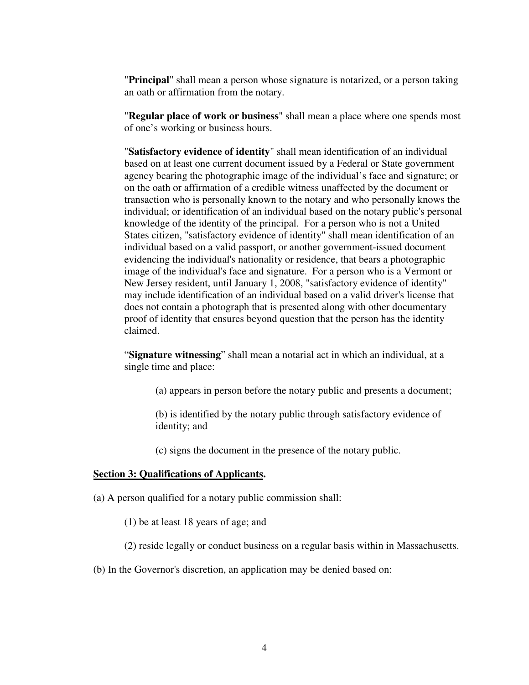"**Principal**" shall mean a person whose signature is notarized, or a person taking an oath or affirmation from the notary.

"**Regular place of work or business**" shall mean a place where one spends most of one's working or business hours.

"**Satisfactory evidence of identity**" shall mean identification of an individual based on at least one current document issued by a Federal or State government agency bearing the photographic image of the individual's face and signature; or on the oath or affirmation of a credible witness unaffected by the document or transaction who is personally known to the notary and who personally knows the individual; or identification of an individual based on the notary public's personal knowledge of the identity of the principal. For a person who is not a United States citizen, "satisfactory evidence of identity" shall mean identification of an individual based on a valid passport, or another government-issued document evidencing the individual's nationality or residence, that bears a photographic image of the individual's face and signature. For a person who is a Vermont or New Jersey resident, until January 1, 2008, "satisfactory evidence of identity" may include identification of an individual based on a valid driver's license that does not contain a photograph that is presented along with other documentary proof of identity that ensures beyond question that the person has the identity claimed.

"**Signature witnessing**" shall mean a notarial act in which an individual, at a single time and place:

(a) appears in person before the notary public and presents a document;

(b) is identified by the notary public through satisfactory evidence of identity; and

(c) signs the document in the presence of the notary public.

#### **Section 3: Qualifications of Applicants.**

(a) A person qualified for a notary public commission shall:

(1) be at least 18 years of age; and

- (2) reside legally or conduct business on a regular basis within in Massachusetts.
- (b) In the Governor's discretion, an application may be denied based on: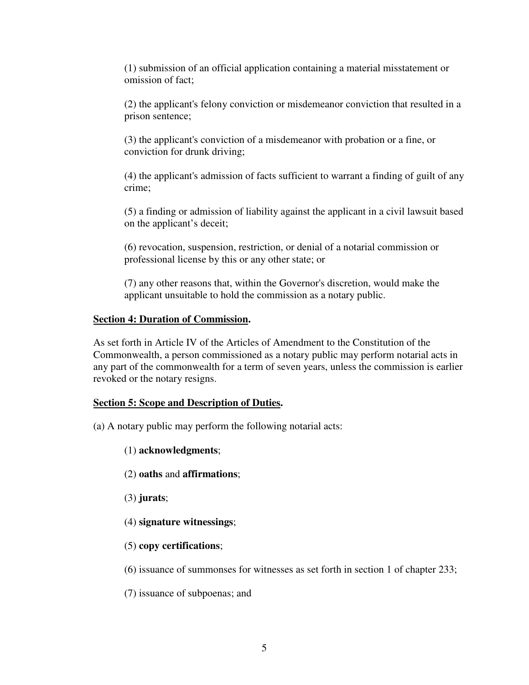(1) submission of an official application containing a material misstatement or omission of fact;

(2) the applicant's felony conviction or misdemeanor conviction that resulted in a prison sentence;

(3) the applicant's conviction of a misdemeanor with probation or a fine, or conviction for drunk driving;

(4) the applicant's admission of facts sufficient to warrant a finding of guilt of any crime;

(5) a finding or admission of liability against the applicant in a civil lawsuit based on the applicant's deceit;

(6) revocation, suspension, restriction, or denial of a notarial commission or professional license by this or any other state; or

(7) any other reasons that, within the Governor's discretion, would make the applicant unsuitable to hold the commission as a notary public.

# **Section 4: Duration of Commission.**

As set forth in Article IV of the Articles of Amendment to the Constitution of the Commonwealth, a person commissioned as a notary public may perform notarial acts in any part of the commonwealth for a term of seven years, unless the commission is earlier revoked or the notary resigns.

# **Section 5: Scope and Description of Duties.**

(a) A notary public may perform the following notarial acts:

- (1) **acknowledgments**;
- (2) **oaths** and **affirmations**;
- (3) **jurats**;
- (4) **signature witnessings**;
- (5) **copy certifications**;

(6) issuance of summonses for witnesses as set forth in section 1 of chapter 233;

(7) issuance of subpoenas; and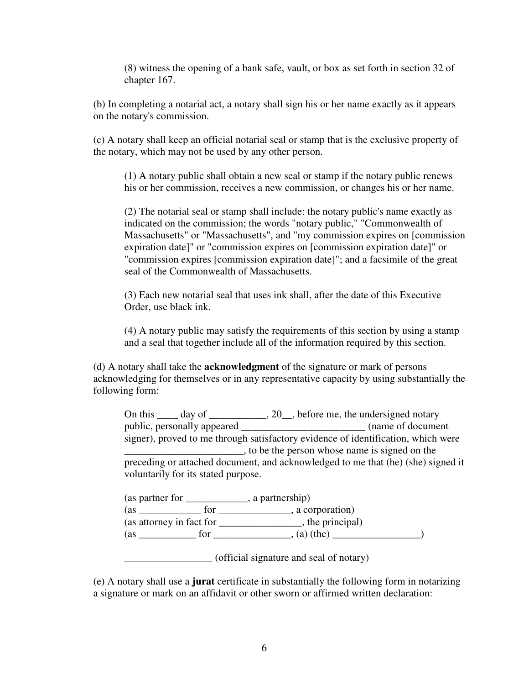(8) witness the opening of a bank safe, vault, or box as set forth in section 32 of chapter 167.

(b) In completing a notarial act, a notary shall sign his or her name exactly as it appears on the notary's commission.

(c) A notary shall keep an official notarial seal or stamp that is the exclusive property of the notary, which may not be used by any other person.

(1) A notary public shall obtain a new seal or stamp if the notary public renews his or her commission, receives a new commission, or changes his or her name.

(2) The notarial seal or stamp shall include: the notary public's name exactly as indicated on the commission; the words "notary public," "Commonwealth of Massachusetts" or "Massachusetts", and "my commission expires on [commission expiration date]" or "commission expires on [commission expiration date]" or "commission expires [commission expiration date]"; and a facsimile of the great seal of the Commonwealth of Massachusetts.

(3) Each new notarial seal that uses ink shall, after the date of this Executive Order, use black ink.

(4) A notary public may satisfy the requirements of this section by using a stamp and a seal that together include all of the information required by this section.

(d) A notary shall take the **acknowledgment** of the signature or mark of persons acknowledging for themselves or in any representative capacity by using substantially the following form:

On this \_\_\_\_ day of \_\_\_\_\_\_\_\_\_\_, 20\_, before me, the undersigned notary public, personally appeared \_\_\_\_\_\_\_\_\_\_\_\_\_\_\_\_\_\_\_\_\_\_\_\_\_\_\_\_\_ (name of document signer), proved to me through satisfactory evidence of identification, which were \_\_\_\_\_\_\_\_\_\_\_\_\_\_\_\_\_\_\_\_\_\_\_, to be the person whose name is signed on the preceding or attached document, and acknowledged to me that (he) (she) signed it voluntarily for its stated purpose.

| (as partner for          | , a partnership) |
|--------------------------|------------------|
| (as<br><b>for</b>        | , a corporation) |
| (as attorney in fact for | , the principal) |
| (as<br>tor               | $(a)$ (the)      |

\_\_\_\_\_\_\_\_\_\_\_\_\_\_\_\_\_ (official signature and seal of notary)

(e) A notary shall use a **jurat** certificate in substantially the following form in notarizing a signature or mark on an affidavit or other sworn or affirmed written declaration: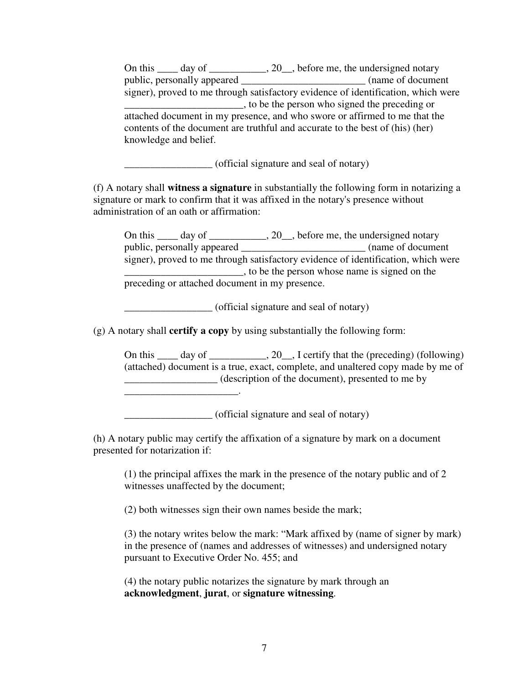On this \_\_\_\_ day of \_\_\_\_\_\_\_\_\_, 20\_, before me, the undersigned notary public, personally appeared \_\_\_\_\_\_\_\_\_\_\_\_\_\_\_\_\_\_\_\_\_\_\_\_ (name of document signer), proved to me through satisfactory evidence of identification, which were \_\_\_\_\_\_\_\_\_\_\_\_\_\_\_\_\_\_\_\_\_\_\_, to be the person who signed the preceding or attached document in my presence, and who swore or affirmed to me that the contents of the document are truthful and accurate to the best of (his) (her) knowledge and belief.

\_\_\_\_\_\_\_\_\_\_\_\_\_\_\_\_\_ (official signature and seal of notary)

(f) A notary shall **witness a signature** in substantially the following form in notarizing a signature or mark to confirm that it was affixed in the notary's presence without administration of an oath or affirmation:

On this \_\_\_\_ day of \_\_\_\_\_\_\_\_\_\_, 20\_, before me, the undersigned notary public, personally appeared \_\_\_\_\_\_\_\_\_\_\_\_\_\_\_\_\_\_\_\_\_\_\_\_ (name of document signer), proved to me through satisfactory evidence of identification, which were \_\_\_\_\_\_\_\_\_\_\_\_\_\_\_\_\_\_\_\_\_\_\_, to be the person whose name is signed on the preceding or attached document in my presence.

\_\_\_\_\_\_\_\_\_\_\_\_\_\_\_\_\_ (official signature and seal of notary)

(g) A notary shall **certify a copy** by using substantially the following form:

On this  $\_\_\_\_$  day of  $\_\_\_\_\_\_$ ,  $20\_\_\_\_$  I certify that the (preceding) (following) (attached) document is a true, exact, complete, and unaltered copy made by me of \_\_\_\_\_\_\_\_\_\_\_\_\_\_\_\_\_\_ (description of the document), presented to me by

\_\_\_\_\_\_\_\_\_\_\_\_\_\_\_\_\_ (official signature and seal of notary)

\_\_\_\_\_\_\_\_\_\_\_\_\_\_\_\_\_\_\_\_\_\_.

(h) A notary public may certify the affixation of a signature by mark on a document presented for notarization if:

(1) the principal affixes the mark in the presence of the notary public and of 2 witnesses unaffected by the document;

(2) both witnesses sign their own names beside the mark;

(3) the notary writes below the mark: "Mark affixed by (name of signer by mark) in the presence of (names and addresses of witnesses) and undersigned notary pursuant to Executive Order No. 455; and

(4) the notary public notarizes the signature by mark through an **acknowledgment**, **jurat**, or **signature witnessing**.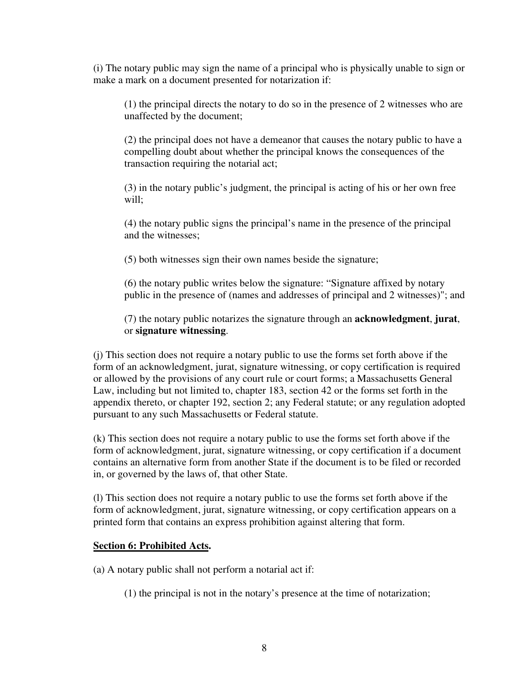(i) The notary public may sign the name of a principal who is physically unable to sign or make a mark on a document presented for notarization if:

(1) the principal directs the notary to do so in the presence of 2 witnesses who are unaffected by the document;

(2) the principal does not have a demeanor that causes the notary public to have a compelling doubt about whether the principal knows the consequences of the transaction requiring the notarial act;

(3) in the notary public's judgment, the principal is acting of his or her own free will;

(4) the notary public signs the principal's name in the presence of the principal and the witnesses;

(5) both witnesses sign their own names beside the signature;

(6) the notary public writes below the signature: "Signature affixed by notary public in the presence of (names and addresses of principal and 2 witnesses)"; and

(7) the notary public notarizes the signature through an **acknowledgment**, **jurat**, or **signature witnessing**.

(j) This section does not require a notary public to use the forms set forth above if the form of an acknowledgment, jurat, signature witnessing, or copy certification is required or allowed by the provisions of any court rule or court forms; a Massachusetts General Law, including but not limited to, chapter 183, section 42 or the forms set forth in the appendix thereto, or chapter 192, section 2; any Federal statute; or any regulation adopted pursuant to any such Massachusetts or Federal statute.

(k) This section does not require a notary public to use the forms set forth above if the form of acknowledgment, jurat, signature witnessing, or copy certification if a document contains an alternative form from another State if the document is to be filed or recorded in, or governed by the laws of, that other State.

(l) This section does not require a notary public to use the forms set forth above if the form of acknowledgment, jurat, signature witnessing, or copy certification appears on a printed form that contains an express prohibition against altering that form.

# **Section 6: Prohibited Acts.**

(a) A notary public shall not perform a notarial act if:

(1) the principal is not in the notary's presence at the time of notarization;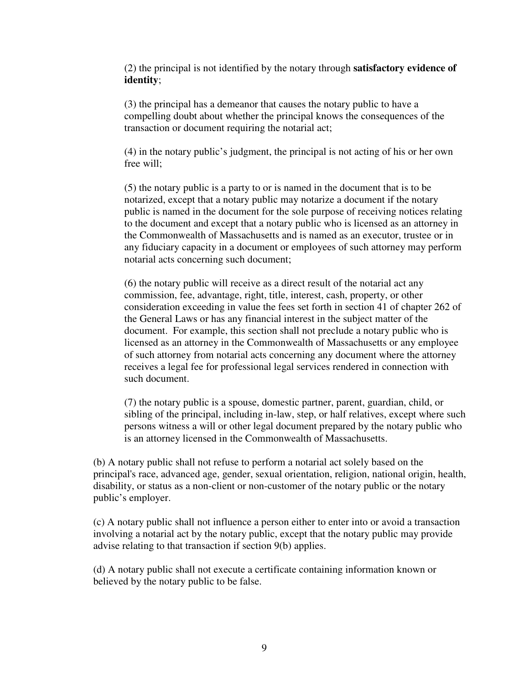(2) the principal is not identified by the notary through **satisfactory evidence of identity**;

(3) the principal has a demeanor that causes the notary public to have a compelling doubt about whether the principal knows the consequences of the transaction or document requiring the notarial act;

(4) in the notary public's judgment, the principal is not acting of his or her own free will;

(5) the notary public is a party to or is named in the document that is to be notarized, except that a notary public may notarize a document if the notary public is named in the document for the sole purpose of receiving notices relating to the document and except that a notary public who is licensed as an attorney in the Commonwealth of Massachusetts and is named as an executor, trustee or in any fiduciary capacity in a document or employees of such attorney may perform notarial acts concerning such document;

(6) the notary public will receive as a direct result of the notarial act any commission, fee, advantage, right, title, interest, cash, property, or other consideration exceeding in value the fees set forth in section 41 of chapter 262 of the General Laws or has any financial interest in the subject matter of the document. For example, this section shall not preclude a notary public who is licensed as an attorney in the Commonwealth of Massachusetts or any employee of such attorney from notarial acts concerning any document where the attorney receives a legal fee for professional legal services rendered in connection with such document.

(7) the notary public is a spouse, domestic partner, parent, guardian, child, or sibling of the principal, including in-law, step, or half relatives, except where such persons witness a will or other legal document prepared by the notary public who is an attorney licensed in the Commonwealth of Massachusetts.

(b) A notary public shall not refuse to perform a notarial act solely based on the principal's race, advanced age, gender, sexual orientation, religion, national origin, health, disability, or status as a non-client or non-customer of the notary public or the notary public's employer.

(c) A notary public shall not influence a person either to enter into or avoid a transaction involving a notarial act by the notary public, except that the notary public may provide advise relating to that transaction if section 9(b) applies.

(d) A notary public shall not execute a certificate containing information known or believed by the notary public to be false.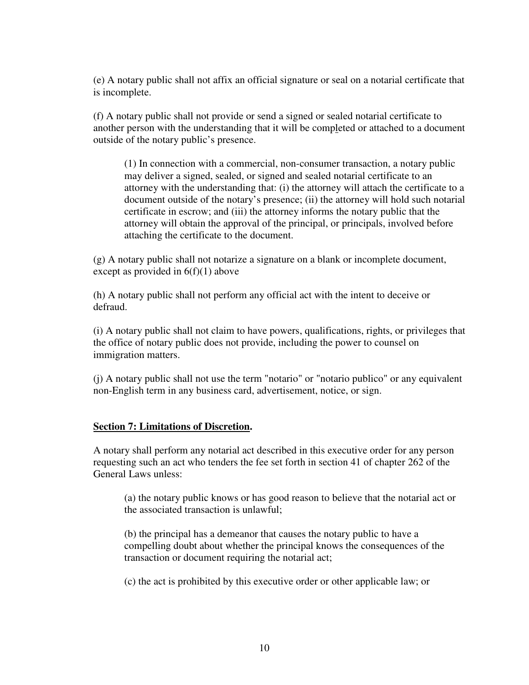(e) A notary public shall not affix an official signature or seal on a notarial certificate that is incomplete.

(f) A notary public shall not provide or send a signed or sealed notarial certificate to another person with the understanding that it will be completed or attached to a document outside of the notary public's presence.

(1) In connection with a commercial, non-consumer transaction, a notary public may deliver a signed, sealed, or signed and sealed notarial certificate to an attorney with the understanding that: (i) the attorney will attach the certificate to a document outside of the notary's presence; (ii) the attorney will hold such notarial certificate in escrow; and (iii) the attorney informs the notary public that the attorney will obtain the approval of the principal, or principals, involved before attaching the certificate to the document.

(g) A notary public shall not notarize a signature on a blank or incomplete document, except as provided in  $6(f)(1)$  above

(h) A notary public shall not perform any official act with the intent to deceive or defraud.

(i) A notary public shall not claim to have powers, qualifications, rights, or privileges that the office of notary public does not provide, including the power to counsel on immigration matters.

(j) A notary public shall not use the term "notario" or "notario publico" or any equivalent non-English term in any business card, advertisement, notice, or sign.

# **Section 7: Limitations of Discretion.**

A notary shall perform any notarial act described in this executive order for any person requesting such an act who tenders the fee set forth in section 41 of chapter 262 of the General Laws unless:

(a) the notary public knows or has good reason to believe that the notarial act or the associated transaction is unlawful;

(b) the principal has a demeanor that causes the notary public to have a compelling doubt about whether the principal knows the consequences of the transaction or document requiring the notarial act;

(c) the act is prohibited by this executive order or other applicable law; or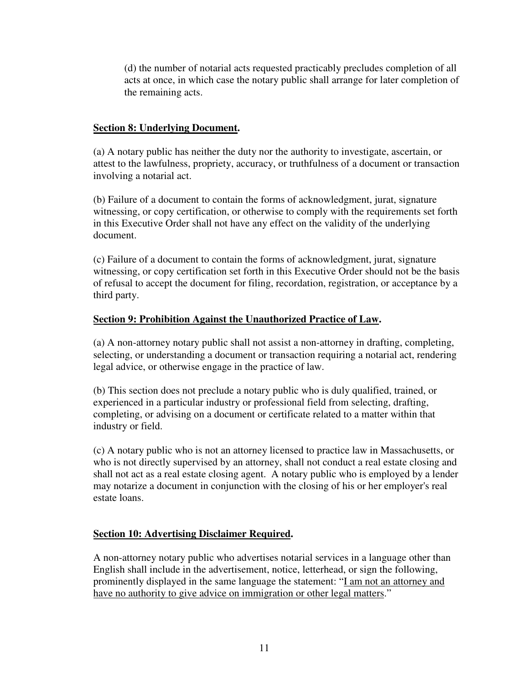(d) the number of notarial acts requested practicably precludes completion of all acts at once, in which case the notary public shall arrange for later completion of the remaining acts.

# **Section 8: Underlying Document.**

(a) A notary public has neither the duty nor the authority to investigate, ascertain, or attest to the lawfulness, propriety, accuracy, or truthfulness of a document or transaction involving a notarial act.

(b) Failure of a document to contain the forms of acknowledgment, jurat, signature witnessing, or copy certification, or otherwise to comply with the requirements set forth in this Executive Order shall not have any effect on the validity of the underlying document.

(c) Failure of a document to contain the forms of acknowledgment, jurat, signature witnessing, or copy certification set forth in this Executive Order should not be the basis of refusal to accept the document for filing, recordation, registration, or acceptance by a third party.

# **Section 9: Prohibition Against the Unauthorized Practice of Law.**

(a) A non-attorney notary public shall not assist a non-attorney in drafting, completing, selecting, or understanding a document or transaction requiring a notarial act, rendering legal advice, or otherwise engage in the practice of law.

(b) This section does not preclude a notary public who is duly qualified, trained, or experienced in a particular industry or professional field from selecting, drafting, completing, or advising on a document or certificate related to a matter within that industry or field.

(c) A notary public who is not an attorney licensed to practice law in Massachusetts, or who is not directly supervised by an attorney, shall not conduct a real estate closing and shall not act as a real estate closing agent. A notary public who is employed by a lender may notarize a document in conjunction with the closing of his or her employer's real estate loans.

# **Section 10: Advertising Disclaimer Required.**

A non-attorney notary public who advertises notarial services in a language other than English shall include in the advertisement, notice, letterhead, or sign the following, prominently displayed in the same language the statement: "I am not an attorney and have no authority to give advice on immigration or other legal matters."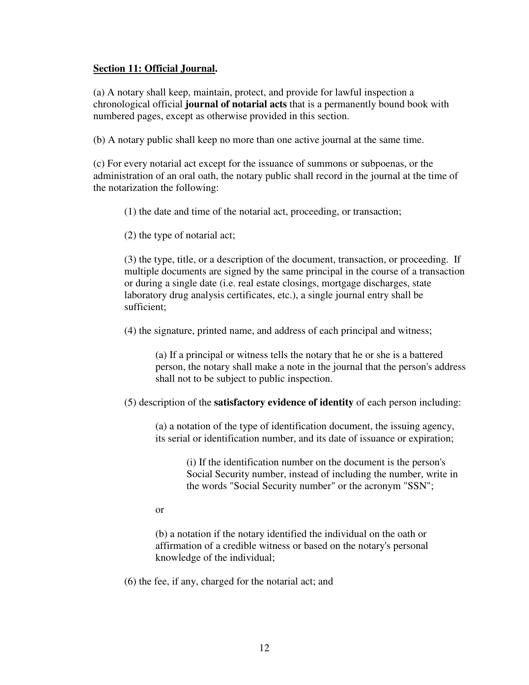# **Section 11: Official Journal.**

(a) A notary shall keep, maintain, protect, and provide for lawful inspection a chronological official **journal of notarial acts** that is a permanently bound book with numbered pages, except as otherwise provided in this section.

(b) A notary public shall keep no more than one active journal at the same time.

(c) For every notarial act except for the issuance of summons or subpoenas, or the administration of an oral oath, the notary public shall record in the journal at the time of the notarization the following:

(1) the date and time of the notarial act, proceeding, or transaction;

(2) the type of notarial act;

(3) the type, title, or a description of the document, transaction, or proceeding. If multiple documents are signed by the same principal in the course of a transaction or during a single date (i.e. real estate closings, mortgage discharges, state laboratory drug analysis certificates, etc.), a single journal entry shall be sufficient;

(4) the signature, printed name, and address of each principal and witness;

(a) If a principal or witness tells the notary that he or she is a battered person, the notary shall make a note in the journal that the person's address shall not to be subject to public inspection.

(5) description of the **satisfactory evidence of identity** of each person including:

(a) a notation of the type of identification document, the issuing agency, its serial or identification number, and its date of issuance or expiration;

> (i) If the identification number on the document is the person's Social Security number, instead of including the number, write in the words "Social Security number" or the acronym "SSN";

or

(b) a notation if the notary identified the individual on the oath or affirmation of a credible witness or based on the notary's personal knowledge of the individual;

(6) the fee, if any, charged for the notarial act; and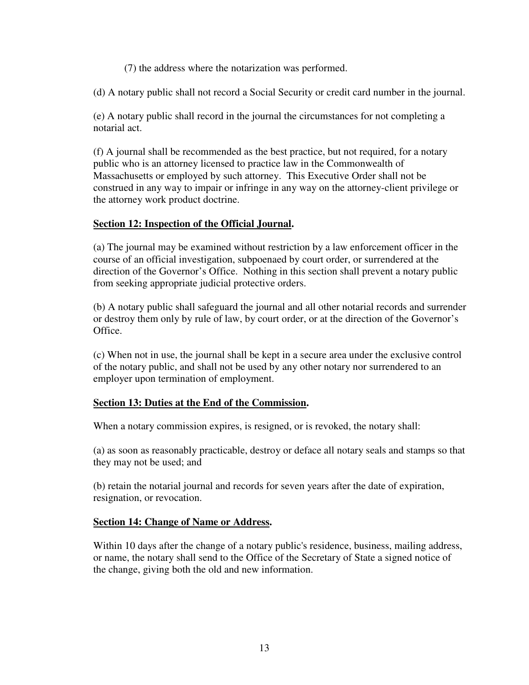(7) the address where the notarization was performed.

(d) A notary public shall not record a Social Security or credit card number in the journal.

(e) A notary public shall record in the journal the circumstances for not completing a notarial act.

(f) A journal shall be recommended as the best practice, but not required, for a notary public who is an attorney licensed to practice law in the Commonwealth of Massachusetts or employed by such attorney. This Executive Order shall not be construed in any way to impair or infringe in any way on the attorney-client privilege or the attorney work product doctrine.

# **Section 12: Inspection of the Official Journal.**

(a) The journal may be examined without restriction by a law enforcement officer in the course of an official investigation, subpoenaed by court order, or surrendered at the direction of the Governor's Office. Nothing in this section shall prevent a notary public from seeking appropriate judicial protective orders.

(b) A notary public shall safeguard the journal and all other notarial records and surrender or destroy them only by rule of law, by court order, or at the direction of the Governor's Office.

(c) When not in use, the journal shall be kept in a secure area under the exclusive control of the notary public, and shall not be used by any other notary nor surrendered to an employer upon termination of employment.

# **Section 13: Duties at the End of the Commission.**

When a notary commission expires, is resigned, or is revoked, the notary shall:

(a) as soon as reasonably practicable, destroy or deface all notary seals and stamps so that they may not be used; and

(b) retain the notarial journal and records for seven years after the date of expiration, resignation, or revocation.

# **Section 14: Change of Name or Address.**

Within 10 days after the change of a notary public's residence, business, mailing address, or name, the notary shall send to the Office of the Secretary of State a signed notice of the change, giving both the old and new information.